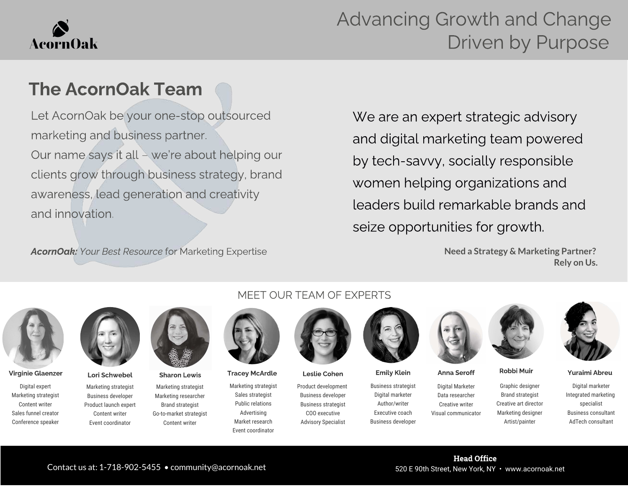# **AcornOak**

## Advancing Growth and Change Driven by Purpose

### The AcornOak Team

Let AcornOak be your one-stop outsourced marketing and business partner. Our name says it all – we're about helping our clients grow through business strategy, brand awareness, lead generation and creativity and innovation.

AcornOak: Your Best Resource for Marketing Expertise

We are an expert strategic advisory and digital marketing team powered by tech-savvy, socially responsible women helping organizations and leaders build remarkable brands and seize opportunities for growth.

> **Need a Strategy & Marketing Partner? Rely on Us.**



Digital expert Marketing strategist Content writer Sales funnel creator Conference speaker



Marketing strategist Business developer Product launch expert Content writer Event coordinator

Marketing strategist Marketing researcher Brand strategist Go-to-market strategist Content writer

#### MEET OUR TEAM OF EXPERTS



Marketing strategist Sales strategist Public relations Advertising Market research Event coordinator Virginie Glaenzer Lori Schwebel Sharon Lewis Tracey McArdle Leslie Cohen Emily Klein Anna Seroff Robbi Muir Yuraimi Abreu



Product development Business developer Business strategist COO executive Advisory Specialist

Contact us at: 1-718-902-5455 • community@acornoak.net 520 E 90th Street, New York, NY • www.acornoak.net



Business strategist Digital marketer Author/writer Executive coach Business developer



Digital Marketer Data researcher Creative writer Visual communicator

Head Office





Graphic designer Brand strategist Creative art director Marketing designer Artist/painter AdTech consultant

Digital marketer Integrated marketing specialist Business consultant

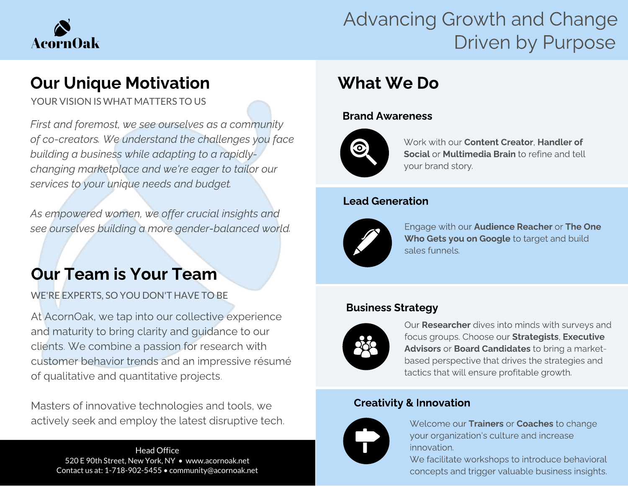

## Advancing Growth and Change Driven by Purpose

YOUR VISION IS WHAT MATTERS TO US

First and foremost, we see ourselves as a community building a business while adapting to a rapidlybuilding a business while adapting to a rapidlychanging marketplace and we're eager to tailor our<br>carvings to vour unique needs and budget services to your unique needs and budget.

As empowered women, we offer crucial insights and see ourselves building a more gender-balanced world.

WE'RE EXPERTS, SO YOU DON'T HAVE TO BE

At AcornOak, we tap into our collective experience<br>and maturity to bring clarity and guidance to our clients. We combine a passion for research with customer behavior trends and an impressive résumé of qualitative and quantitative projects. of qualitative and quantitative projects.

Masters of innovative technologies and tools, we<br>actively seek and employ the latest disruptive tech. actively seek and employ the latest disruptive tech.

Head Office 520 E 90th Street, New York, NY • www.acornoak.net Contact us at: 1-718-902-5455 • community@acornoak.net

### What We Do What We Do Do

#### Brand Awareness



Work with our **Content Creator, Handler of** Social or Multimedia Brain to refine and tell your brand story.

#### Lead Generation



Engage with our Audience Reacher or The One Who Gets you on Google to target and build sales funnels.

### Business Strategy



Our **Researcher** dives into minds with surveys and focus groups. Choose our Strategists, Executive Advisors or Board Candidates to bring a marketbased perspective that drives the strategies and tactics that will ensure profitable growth.

### Creativity & Innovation



Welcome our Trainers or Coaches to change your organization's culture and increase innovation.

We facilitate workshops to introduce behavioral concepts and trigger valuable business insights.